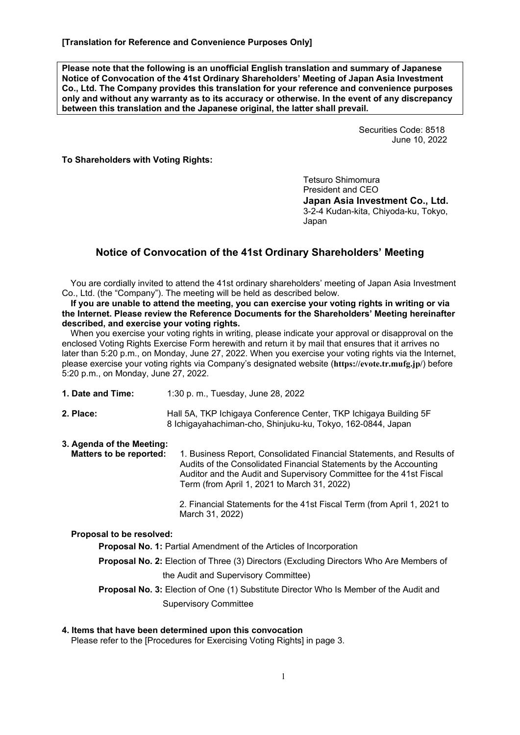**Please note that the following is an unofficial English translation and summary of Japanese Notice of Convocation of the 41st Ordinary Shareholders' Meeting of Japan Asia Investment Co., Ltd. The Company provides this translation for your reference and convenience purposes only and without any warranty as to its accuracy or otherwise. In the event of any discrepancy between this translation and the Japanese original, the latter shall prevail.** 

> Securities Code: 8518 June 10, 2022

**To Shareholders with Voting Rights:** 

Tetsuro Shimomura President and CEO **Japan Asia Investment Co., Ltd.**  3-2-4 Kudan-kita, Chiyoda-ku, Tokyo, Japan

# **Notice of Convocation of the 41st Ordinary Shareholders' Meeting**

You are cordially invited to attend the 41st ordinary shareholders' meeting of Japan Asia Investment Co., Ltd. (the "Company"). The meeting will be held as described below.

**If you are unable to attend the meeting, you can exercise your voting rights in writing or via the Internet. Please review the Reference Documents for the Shareholders' Meeting hereinafter described, and exercise your voting rights.**

When you exercise your voting rights in writing, please indicate your approval or disapproval on the enclosed Voting Rights Exercise Form herewith and return it by mail that ensures that it arrives no later than 5:20 p.m., on Monday, June 27, 2022. When you exercise your voting rights via the Internet, please exercise your voting rights via Company's designated website (**https://evote.tr.mufg.jp/**) before 5:20 p.m., on Monday, June 27, 2022.

- **1. Date and Time:** 1:30 p. m., Tuesday, June 28, 2022
- **2. Place:** Hall 5A, TKP Ichigaya Conference Center, TKP Ichigaya Building 5F 8 Ichigayahachiman-cho, Shinjuku-ku, Tokyo, 162-0844, Japan
- **3. Agenda of the Meeting: Matters to be reported:** 1. Business Report, Consolidated Financial Statements, and Results of Audits of the Consolidated Financial Statements by the Accounting Auditor and the Audit and Supervisory Committee for the 41st Fiscal Term (from April 1, 2021 to March 31, 2022)

 2. Financial Statements for the 41st Fiscal Term (from April 1, 2021 to March 31, 2022)

#### **Proposal to be resolved:**

**Proposal No. 1:** Partial Amendment of the Articles of Incorporation

**Proposal No. 2:** Election of Three (3) Directors (Excluding Directors Who Are Members of the Audit and Supervisory Committee)

**Proposal No. 3:** Election of One (1) Substitute Director Who Is Member of the Audit and Supervisory Committee

**4. Items that have been determined upon this convocation** 

Please refer to the [Procedures for Exercising Voting Rights] in page 3.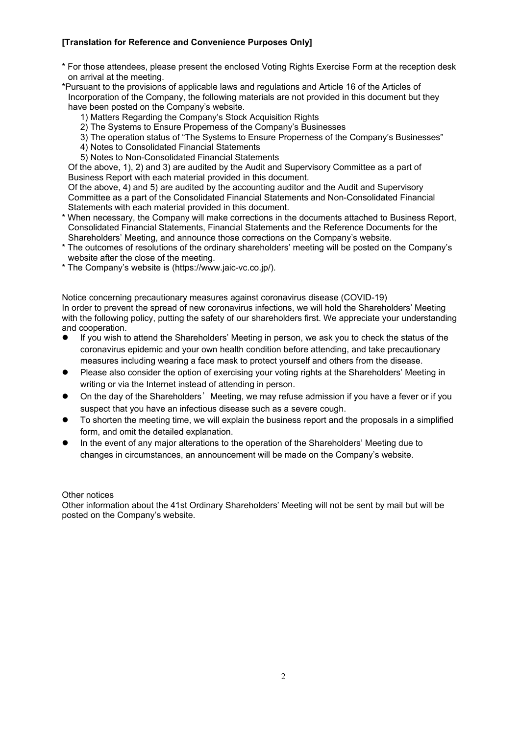- \* For those attendees, please present the enclosed Voting Rights Exercise Form at the reception desk on arrival at the meeting.
- \*Pursuant to the provisions of applicable laws and regulations and Article 16 of the Articles of Incorporation of the Company, the following materials are not provided in this document but they have been posted on the Company's website.
	- 1) Matters Regarding the Company's Stock Acquisition Rights
	- 2) The Systems to Ensure Properness of the Company's Businesses
	- 3) The operation status of "The Systems to Ensure Properness of the Company's Businesses"
	- 4) Notes to Consolidated Financial Statements
	- 5) Notes to Non-Consolidated Financial Statements

Of the above, 1), 2) and 3) are audited by the Audit and Supervisory Committee as a part of Business Report with each material provided in this document.

Of the above, 4) and 5) are audited by the accounting auditor and the Audit and Supervisory Committee as a part of the Consolidated Financial Statements and Non-Consolidated Financial Statements with each material provided in this document.

- When necessary, the Company will make corrections in the documents attached to Business Report, Consolidated Financial Statements, Financial Statements and the Reference Documents for the Shareholders' Meeting, and announce those corrections on the Company's website.
- \* The outcomes of resolutions of the ordinary shareholders' meeting will be posted on the Company's website after the close of the meeting.
- \* The Company's website is (https://www.jaic-vc.co.jp/).

Notice concerning precautionary measures against coronavirus disease (COVID-19) In order to prevent the spread of new coronavirus infections, we will hold the Shareholders' Meeting with the following policy, putting the safety of our shareholders first. We appreciate your understanding and cooperation.

- If you wish to attend the Shareholders' Meeting in person, we ask you to check the status of the coronavirus epidemic and your own health condition before attending, and take precautionary measures including wearing a face mask to protect yourself and others from the disease.
- Please also consider the option of exercising your voting rights at the Shareholders' Meeting in writing or via the Internet instead of attending in person.
- On the day of the Shareholders' Meeting, we may refuse admission if you have a fever or if you suspect that you have an infectious disease such as a severe cough.
- To shorten the meeting time, we will explain the business report and the proposals in a simplified form, and omit the detailed explanation.
- In the event of any major alterations to the operation of the Shareholders' Meeting due to changes in circumstances, an announcement will be made on the Company's website.

Other notices

Other information about the 41st Ordinary Shareholders' Meeting will not be sent by mail but will be posted on the Company's website.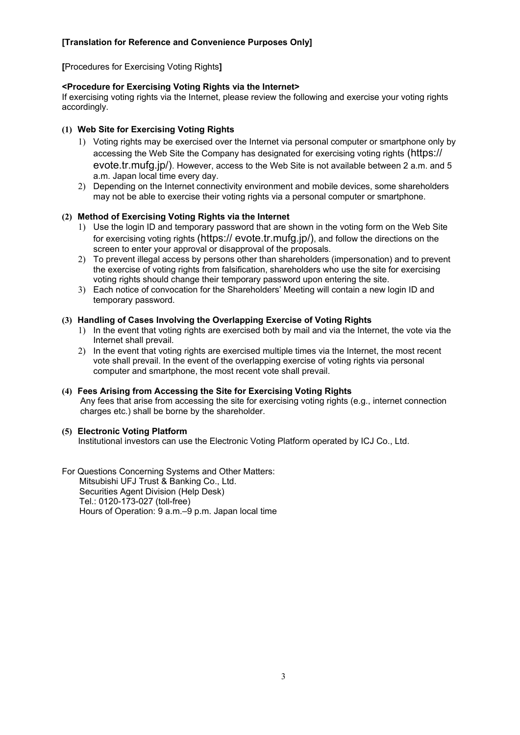**[**Procedures for Exercising Voting Rights**]**

#### **<Procedure for Exercising Voting Rights via the Internet>**

If exercising voting rights via the Internet, please review the following and exercise your voting rights accordingly.

#### **(1) Web Site for Exercising Voting Rights**

- 1) Voting rights may be exercised over the Internet via personal computer or smartphone only by accessing the Web Site the Company has designated for exercising voting rights (https:// evote.tr.mufg.jp/). However, access to the Web Site is not available between 2 a.m. and 5 a.m. Japan local time every day.
- 2) Depending on the Internet connectivity environment and mobile devices, some shareholders may not be able to exercise their voting rights via a personal computer or smartphone.

#### **(2) Method of Exercising Voting Rights via the Internet**

- 1) Use the login ID and temporary password that are shown in the voting form on the Web Site for exercising voting rights (https:// evote.tr.mufg.jp/), and follow the directions on the screen to enter your approval or disapproval of the proposals.
- 2) To prevent illegal access by persons other than shareholders (impersonation) and to prevent the exercise of voting rights from falsification, shareholders who use the site for exercising voting rights should change their temporary password upon entering the site.
- 3) Each notice of convocation for the Shareholders' Meeting will contain a new login ID and temporary password.

#### **(3) Handling of Cases Involving the Overlapping Exercise of Voting Rights**

- 1) In the event that voting rights are exercised both by mail and via the Internet, the vote via the Internet shall prevail.
- 2) In the event that voting rights are exercised multiple times via the Internet, the most recent vote shall prevail. In the event of the overlapping exercise of voting rights via personal computer and smartphone, the most recent vote shall prevail.

#### **(4) Fees Arising from Accessing the Site for Exercising Voting Rights**  Any fees that arise from accessing the site for exercising voting rights (e.g., internet connection charges etc.) shall be borne by the shareholder.

#### **(5) Electronic Voting Platform**

Institutional investors can use the Electronic Voting Platform operated by ICJ Co., Ltd.

For Questions Concerning Systems and Other Matters: Mitsubishi UFJ Trust & Banking Co., Ltd. Securities Agent Division (Help Desk) Tel.: 0120-173-027 (toll-free) Hours of Operation: 9 a.m.–9 p.m. Japan local time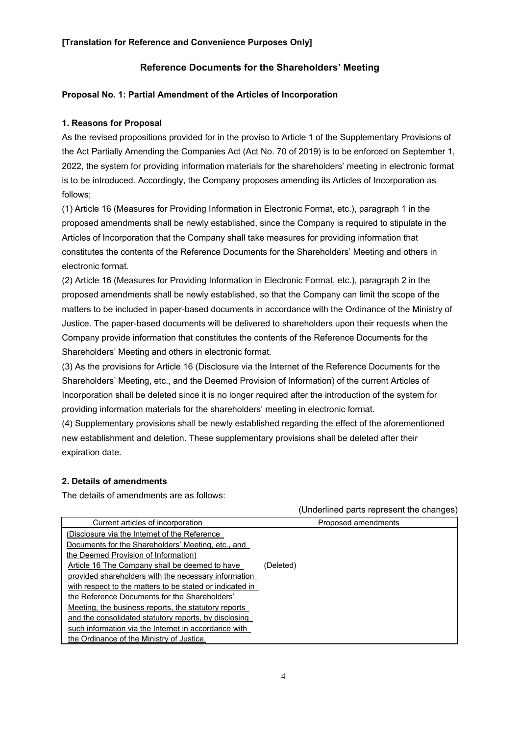# **Reference Documents for the Shareholders' Meeting**

## **Proposal No. 1: Partial Amendment of the Articles of Incorporation**

## **1. Reasons for Proposal**

As the revised propositions provided for in the proviso to Article 1 of the Supplementary Provisions of the Act Partially Amending the Companies Act (Act No. 70 of 2019) is to be enforced on September 1, 2022, the system for providing information materials for the shareholders' meeting in electronic format is to be introduced. Accordingly, the Company proposes amending its Articles of Incorporation as follows;

(1) Article 16 (Measures for Providing Information in Electronic Format, etc.), paragraph 1 in the proposed amendments shall be newly established, since the Company is required to stipulate in the Articles of Incorporation that the Company shall take measures for providing information that constitutes the contents of the Reference Documents for the Shareholders' Meeting and others in electronic format.

(2) Article 16 (Measures for Providing Information in Electronic Format, etc.), paragraph 2 in the proposed amendments shall be newly established, so that the Company can limit the scope of the matters to be included in paper-based documents in accordance with the Ordinance of the Ministry of Justice. The paper-based documents will be delivered to shareholders upon their requests when the Company provide information that constitutes the contents of the Reference Documents for the Shareholders' Meeting and others in electronic format.

(3) As the provisions for Article 16 (Disclosure via the Internet of the Reference Documents for the Shareholders' Meeting, etc., and the Deemed Provision of Information) of the current Articles of Incorporation shall be deleted since it is no longer required after the introduction of the system for providing information materials for the shareholders' meeting in electronic format.

(4) Supplementary provisions shall be newly established regarding the effect of the aforementioned new establishment and deletion. These supplementary provisions shall be deleted after their expiration date.

#### **2. Details of amendments**

The details of amendments are as follows:

| Current articles of incorporation                        | Proposed amendments |
|----------------------------------------------------------|---------------------|
| (Disclosure via the Internet of the Reference            |                     |
| Documents for the Shareholders' Meeting, etc., and       |                     |
| the Deemed Provision of Information)                     |                     |
| Article 16 The Company shall be deemed to have           | (Deleted)           |
| provided shareholders with the necessary information     |                     |
| with respect to the matters to be stated or indicated in |                     |
| the Reference Documents for the Shareholders'            |                     |
| Meeting, the business reports, the statutory reports     |                     |
| and the consolidated statutory reports, by disclosing    |                     |
| such information via the Internet in accordance with     |                     |
| the Ordinance of the Ministry of Justice.                |                     |

#### (Underlined parts represent the changes)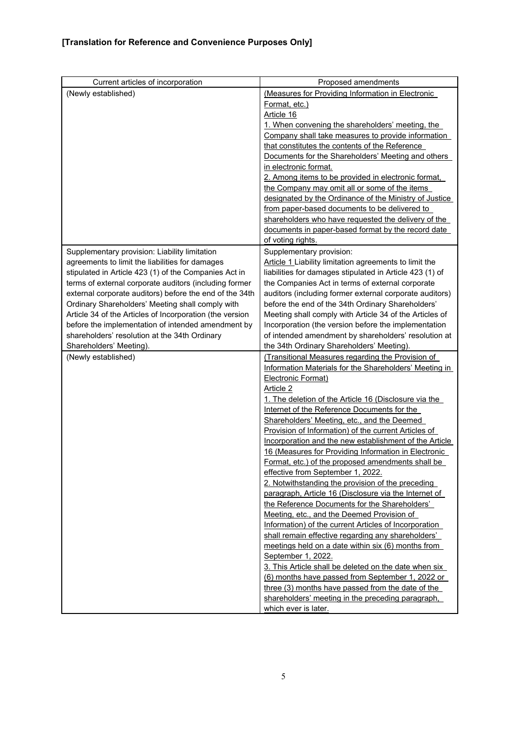| Current articles of incorporation                                                                                 | Proposed amendments                                                                                         |
|-------------------------------------------------------------------------------------------------------------------|-------------------------------------------------------------------------------------------------------------|
| (Newly established)                                                                                               | (Measures for Providing Information in Electronic                                                           |
|                                                                                                                   | Format, etc.)                                                                                               |
|                                                                                                                   | Article 16                                                                                                  |
|                                                                                                                   | 1. When convening the shareholders' meeting, the                                                            |
|                                                                                                                   | Company shall take measures to provide information                                                          |
|                                                                                                                   | that constitutes the contents of the Reference                                                              |
|                                                                                                                   | Documents for the Shareholders' Meeting and others<br>in electronic format.                                 |
|                                                                                                                   | 2. Among items to be provided in electronic format,                                                         |
|                                                                                                                   | the Company may omit all or some of the items                                                               |
|                                                                                                                   | designated by the Ordinance of the Ministry of Justice                                                      |
|                                                                                                                   | from paper-based documents to be delivered to                                                               |
|                                                                                                                   | shareholders who have requested the delivery of the                                                         |
|                                                                                                                   | documents in paper-based format by the record date                                                          |
|                                                                                                                   | of voting rights.                                                                                           |
| Supplementary provision: Liability limitation                                                                     | Supplementary provision:                                                                                    |
| agreements to limit the liabilities for damages                                                                   | Article 1 Liability limitation agreements to limit the                                                      |
| stipulated in Article 423 (1) of the Companies Act in                                                             | liabilities for damages stipulated in Article 423 (1) of                                                    |
| terms of external corporate auditors (including former<br>external corporate auditors) before the end of the 34th | the Companies Act in terms of external corporate<br>auditors (including former external corporate auditors) |
| Ordinary Shareholders' Meeting shall comply with                                                                  | before the end of the 34th Ordinary Shareholders'                                                           |
| Article 34 of the Articles of Incorporation (the version                                                          | Meeting shall comply with Article 34 of the Articles of                                                     |
| before the implementation of intended amendment by                                                                | Incorporation (the version before the implementation                                                        |
| shareholders' resolution at the 34th Ordinary                                                                     | of intended amendment by shareholders' resolution at                                                        |
| Shareholders' Meeting).                                                                                           | the 34th Ordinary Shareholders' Meeting).                                                                   |
| (Newly established)                                                                                               | (Transitional Measures regarding the Provision of                                                           |
|                                                                                                                   | Information Materials for the Shareholders' Meeting in                                                      |
|                                                                                                                   | Electronic Format)                                                                                          |
|                                                                                                                   | Article 2                                                                                                   |
|                                                                                                                   | 1. The deletion of the Article 16 (Disclosure via the                                                       |
|                                                                                                                   | Internet of the Reference Documents for the                                                                 |
|                                                                                                                   | Shareholders' Meeting, etc., and the Deemed<br>Provision of Information) of the current Articles of         |
|                                                                                                                   | Incorporation and the new establishment of the Article                                                      |
|                                                                                                                   | 16 (Measures for Providing Information in Electronic                                                        |
|                                                                                                                   | Format, etc.) of the proposed amendments shall be                                                           |
|                                                                                                                   | effective from September 1, 2022.                                                                           |
|                                                                                                                   | 2. Notwithstanding the provision of the preceding                                                           |
|                                                                                                                   | paragraph, Article 16 (Disclosure via the Internet of                                                       |
|                                                                                                                   | the Reference Documents for the Shareholders'                                                               |
|                                                                                                                   | Meeting, etc., and the Deemed Provision of                                                                  |
|                                                                                                                   | Information) of the current Articles of Incorporation                                                       |
|                                                                                                                   | shall remain effective regarding any shareholders'                                                          |
|                                                                                                                   | meetings held on a date within six (6) months from<br>September 1, 2022.                                    |
|                                                                                                                   | 3. This Article shall be deleted on the date when six                                                       |
|                                                                                                                   | (6) months have passed from September 1, 2022 or                                                            |
|                                                                                                                   | three (3) months have passed from the date of the                                                           |
|                                                                                                                   | shareholders' meeting in the preceding paragraph,                                                           |
|                                                                                                                   | which ever is later.                                                                                        |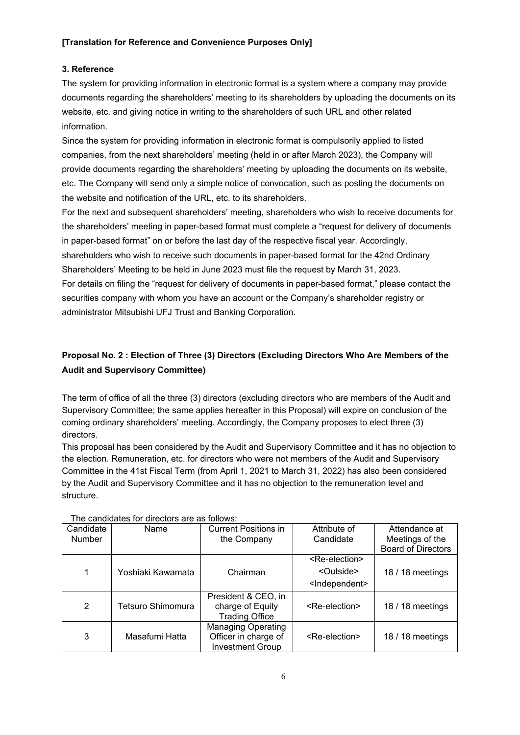## **3. Reference**

The system for providing information in electronic format is a system where a company may provide documents regarding the shareholders' meeting to its shareholders by uploading the documents on its website, etc. and giving notice in writing to the shareholders of such URL and other related information.

Since the system for providing information in electronic format is compulsorily applied to listed companies, from the next shareholders' meeting (held in or after March 2023), the Company will provide documents regarding the shareholders' meeting by uploading the documents on its website, etc. The Company will send only a simple notice of convocation, such as posting the documents on the website and notification of the URL, etc. to its shareholders.

For the next and subsequent shareholders' meeting, shareholders who wish to receive documents for the shareholders' meeting in paper-based format must complete a "request for delivery of documents in paper-based format" on or before the last day of the respective fiscal year. Accordingly,

shareholders who wish to receive such documents in paper-based format for the 42nd Ordinary Shareholders' Meeting to be held in June 2023 must file the request by March 31, 2023.

For details on filing the "request for delivery of documents in paper-based format," please contact the securities company with whom you have an account or the Company's shareholder registry or administrator Mitsubishi UFJ Trust and Banking Corporation.

# **Proposal No. 2 : Election of Three (3) Directors (Excluding Directors Who Are Members of the Audit and Supervisory Committee)**

The term of office of all the three (3) directors (excluding directors who are members of the Audit and Supervisory Committee; the same applies hereafter in this Proposal) will expire on conclusion of the coming ordinary shareholders' meeting. Accordingly, the Company proposes to elect three (3) directors.

This proposal has been considered by the Audit and Supervisory Committee and it has no objection to the election. Remuneration, etc. for directors who were not members of the Audit and Supervisory Committee in the 41st Fiscal Term (from April 1, 2021 to March 31, 2022) has also been considered by the Audit and Supervisory Committee and it has no objection to the remuneration level and structure.

|                | THE CANDICATES TOP QUECTORS ALE AS TONOWS. |                                                                              |                             |                           |  |  |
|----------------|--------------------------------------------|------------------------------------------------------------------------------|-----------------------------|---------------------------|--|--|
| Candidate      | Name                                       | <b>Current Positions in</b>                                                  | Attribute of                | Attendance at             |  |  |
| <b>Number</b>  |                                            | the Company                                                                  | Candidate                   | Meetings of the           |  |  |
|                |                                            |                                                                              |                             | <b>Board of Directors</b> |  |  |
|                |                                            |                                                                              | <re-election></re-election> |                           |  |  |
| 1              | Yoshiaki Kawamata                          | Chairman                                                                     | <outside></outside>         | 18 / 18 meetings          |  |  |
|                |                                            |                                                                              | <independent></independent> |                           |  |  |
| $\overline{2}$ | Tetsuro Shimomura                          | President & CEO, in<br>charge of Equity<br><b>Trading Office</b>             | <re-election></re-election> | 18 / 18 meetings          |  |  |
| 3              | Masafumi Hatta                             | <b>Managing Operating</b><br>Officer in charge of<br><b>Investment Group</b> | <re-election></re-election> | 18 / 18 meetings          |  |  |

The candidates for directors are as follows: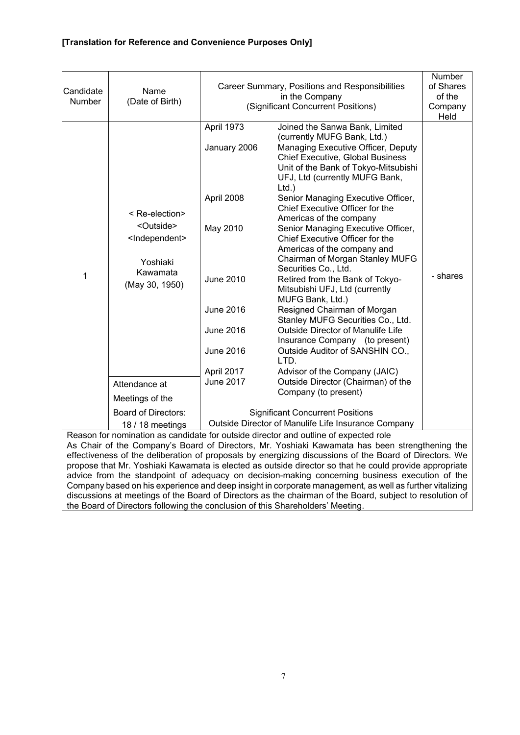| Candidate<br>Number                                                                  | Name<br>(Date of Birth)                                                                                                                                                                                      | Career Summary, Positions and Responsibilities<br>(Significant Concurrent Positions)                                                                                   | Number<br>of Shares<br>of the<br>Company<br>Held                                                                                                                                                                                                                                                                                                                                                                                                                                                                                                                                                                                                                                                                                                                                                                                                                                                                                                                                            |          |  |
|--------------------------------------------------------------------------------------|--------------------------------------------------------------------------------------------------------------------------------------------------------------------------------------------------------------|------------------------------------------------------------------------------------------------------------------------------------------------------------------------|---------------------------------------------------------------------------------------------------------------------------------------------------------------------------------------------------------------------------------------------------------------------------------------------------------------------------------------------------------------------------------------------------------------------------------------------------------------------------------------------------------------------------------------------------------------------------------------------------------------------------------------------------------------------------------------------------------------------------------------------------------------------------------------------------------------------------------------------------------------------------------------------------------------------------------------------------------------------------------------------|----------|--|
| 1                                                                                    | < Re-election><br><outside><br/><independent><br/>Yoshiaki<br/>Kawamata<br/>(May 30, 1950)<br/>Attendance at<br/>Meetings of the<br/><b>Board of Directors:</b><br/>18 / 18 meetings</independent></outside> | April 1973<br>January 2006<br>April 2008<br>May 2010<br><b>June 2010</b><br><b>June 2016</b><br><b>June 2016</b><br><b>June 2016</b><br>April 2017<br><b>June 2017</b> | Joined the Sanwa Bank, Limited<br>(currently MUFG Bank, Ltd.)<br>Managing Executive Officer, Deputy<br><b>Chief Executive, Global Business</b><br>Unit of the Bank of Tokyo-Mitsubishi<br>UFJ, Ltd (currently MUFG Bank,<br>$Ltd.$ )<br>Senior Managing Executive Officer,<br>Chief Executive Officer for the<br>Americas of the company<br>Senior Managing Executive Officer,<br>Chief Executive Officer for the<br>Americas of the company and<br>Chairman of Morgan Stanley MUFG<br>Securities Co., Ltd.<br>Retired from the Bank of Tokyo-<br>Mitsubishi UFJ, Ltd (currently<br>MUFG Bank, Ltd.)<br>Resigned Chairman of Morgan<br>Stanley MUFG Securities Co., Ltd.<br>Outside Director of Manulife Life<br>Insurance Company (to present)<br>Outside Auditor of SANSHIN CO.,<br>LTD.<br>Advisor of the Company (JAIC)<br>Outside Director (Chairman) of the<br>Company (to present)<br><b>Significant Concurrent Positions</b><br>Outside Director of Manulife Life Insurance Company | - shares |  |
| Reason for nomination as candidate for outside director and outline of expected role |                                                                                                                                                                                                              |                                                                                                                                                                        |                                                                                                                                                                                                                                                                                                                                                                                                                                                                                                                                                                                                                                                                                                                                                                                                                                                                                                                                                                                             |          |  |

As Chair of the Company's Board of Directors, Mr. Yoshiaki Kawamata has been strengthening the effectiveness of the deliberation of proposals by energizing discussions of the Board of Directors. We propose that Mr. Yoshiaki Kawamata is elected as outside director so that he could provide appropriate advice from the standpoint of adequacy on decision-making concerning business execution of the Company based on his experience and deep insight in corporate management, as well as further vitalizing discussions at meetings of the Board of Directors as the chairman of the Board, subject to resolution of the Board of Directors following the conclusion of this Shareholders' Meeting.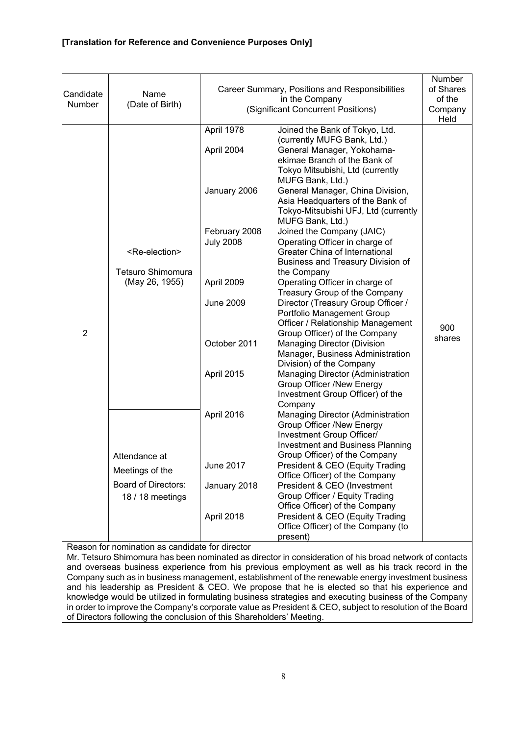| Candidate<br>Number | Name<br>(Date of Birth)                                                            | Career Summary, Positions and Responsibilities<br>(Significant Concurrent Positions)                                                          | Number<br>of Shares<br>of the<br>Company<br>Held                                                                                                                                                                                                                                                                                                                                                                                                                                                                                                                                                                                                                                                                                                                                                                                                                                                                        |               |
|---------------------|------------------------------------------------------------------------------------|-----------------------------------------------------------------------------------------------------------------------------------------------|-------------------------------------------------------------------------------------------------------------------------------------------------------------------------------------------------------------------------------------------------------------------------------------------------------------------------------------------------------------------------------------------------------------------------------------------------------------------------------------------------------------------------------------------------------------------------------------------------------------------------------------------------------------------------------------------------------------------------------------------------------------------------------------------------------------------------------------------------------------------------------------------------------------------------|---------------|
| $\overline{2}$      | <re-election><br/>Tetsuro Shimomura<br/>(May 26, 1955)</re-election>               | April 1978<br>April 2004<br>January 2006<br>February 2008<br><b>July 2008</b><br>April 2009<br><b>June 2009</b><br>October 2011<br>April 2015 | Joined the Bank of Tokyo, Ltd.<br>(currently MUFG Bank, Ltd.)<br>General Manager, Yokohama-<br>ekimae Branch of the Bank of<br>Tokyo Mitsubishi, Ltd (currently<br>MUFG Bank, Ltd.)<br>General Manager, China Division,<br>Asia Headquarters of the Bank of<br>Tokyo-Mitsubishi UFJ, Ltd (currently<br>MUFG Bank, Ltd.)<br>Joined the Company (JAIC)<br>Operating Officer in charge of<br>Greater China of International<br>Business and Treasury Division of<br>the Company<br>Operating Officer in charge of<br>Treasury Group of the Company<br>Director (Treasury Group Officer /<br>Portfolio Management Group<br>Officer / Relationship Management<br>Group Officer) of the Company<br><b>Managing Director (Division</b><br>Manager, Business Administration<br>Division) of the Company<br>Managing Director (Administration<br><b>Group Officer /New Energy</b><br>Investment Group Officer) of the<br>Company | 900<br>shares |
|                     | Attendance at<br>Meetings of the<br><b>Board of Directors:</b><br>18 / 18 meetings | April 2016<br>June 2017<br>January 2018<br>April 2018                                                                                         | Managing Director (Administration<br><b>Group Officer /New Energy</b><br>Investment Group Officer/<br><b>Investment and Business Planning</b><br>Group Officer) of the Company<br>President & CEO (Equity Trading<br>Office Officer) of the Company<br>President & CEO (Investment<br>Group Officer / Equity Trading<br>Office Officer) of the Company<br>President & CEO (Equity Trading<br>Office Officer) of the Company (to<br>present)                                                                                                                                                                                                                                                                                                                                                                                                                                                                             |               |

Reason for nomination as candidate for director

Mr. Tetsuro Shimomura has been nominated as director in consideration of his broad network of contacts and overseas business experience from his previous employment as well as his track record in the Company such as in business management, establishment of the renewable energy investment business and his leadership as President & CEO. We propose that he is elected so that his experience and knowledge would be utilized in formulating business strategies and executing business of the Company in order to improve the Company's corporate value as President & CEO, subject to resolution of the Board of Directors following the conclusion of this Shareholders' Meeting.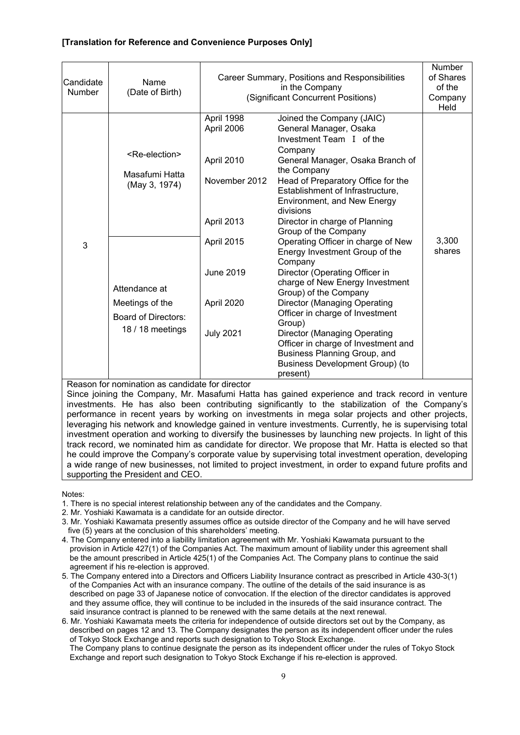| Candidate<br>Number | Name<br>(Date of Birth)                                                                                                                                    | Career Summary, Positions and Responsibilities<br>(Significant Concurrent Positions)                                                      | <b>Number</b><br>of Shares<br>of the<br>Company<br>Held                                                                                                                                                                                                                                                                                                                                                                                                                                                                                                                                                                                                                                                                                                                |                 |
|---------------------|------------------------------------------------------------------------------------------------------------------------------------------------------------|-------------------------------------------------------------------------------------------------------------------------------------------|------------------------------------------------------------------------------------------------------------------------------------------------------------------------------------------------------------------------------------------------------------------------------------------------------------------------------------------------------------------------------------------------------------------------------------------------------------------------------------------------------------------------------------------------------------------------------------------------------------------------------------------------------------------------------------------------------------------------------------------------------------------------|-----------------|
| 3                   | <re-election><br/>Masafumi Hatta<br/>(May 3, 1974)<br/>Attendance at<br/>Meetings of the<br/><b>Board of Directors:</b><br/>18 / 18 meetings</re-election> | April 1998<br>April 2006<br>April 2010<br>November 2012<br>April 2013<br>April 2015<br><b>June 2019</b><br>April 2020<br><b>July 2021</b> | Joined the Company (JAIC)<br>General Manager, Osaka<br>Investment Team I of the<br>Company<br>General Manager, Osaka Branch of<br>the Company<br>Head of Preparatory Office for the<br>Establishment of Infrastructure,<br>Environment, and New Energy<br>divisions<br>Director in charge of Planning<br>Group of the Company<br>Operating Officer in charge of New<br>Energy Investment Group of the<br>Company<br>Director (Operating Officer in<br>charge of New Energy Investment<br>Group) of the Company<br><b>Director (Managing Operating</b><br>Officer in charge of Investment<br>Group)<br><b>Director (Managing Operating</b><br>Officer in charge of Investment and<br>Business Planning Group, and<br><b>Business Development Group) (to</b><br>present) | 3,300<br>shares |

Reason for nomination as candidate for director

Since joining the Company, Mr. Masafumi Hatta has gained experience and track record in venture investments. He has also been contributing significantly to the stabilization of the Company's performance in recent years by working on investments in mega solar projects and other projects, leveraging his network and knowledge gained in venture investments. Currently, he is supervising total investment operation and working to diversify the businesses by launching new projects. In light of this track record, we nominated him as candidate for director. We propose that Mr. Hatta is elected so that he could improve the Company's corporate value by supervising total investment operation, developing a wide range of new businesses, not limited to project investment, in order to expand future profits and supporting the President and CEO.

Notes:

1. There is no special interest relationship between any of the candidates and the Company.

2. Mr. Yoshiaki Kawamata is a candidate for an outside director.

- 3. Mr. Yoshiaki Kawamata presently assumes office as outside director of the Company and he will have served five (5) years at the conclusion of this shareholders' meeting.
- 4. The Company entered into a liability limitation agreement with Mr. Yoshiaki Kawamata pursuant to the provision in Article 427(1) of the Companies Act. The maximum amount of liability under this agreement shall be the amount prescribed in Article 425(1) of the Companies Act. The Company plans to continue the said agreement if his re-election is approved.
- 5. The Company entered into a Directors and Officers Liability Insurance contract as prescribed in Article 430-3(1) of the Companies Act with an insurance company. The outline of the details of the said insurance is as described on page 33 of Japanese notice of convocation. If the election of the director candidates is approved and they assume office, they will continue to be included in the insureds of the said insurance contract. The said insurance contract is planned to be renewed with the same details at the next renewal.

6. Mr. Yoshiaki Kawamata meets the criteria for independence of outside directors set out by the Company, as described on pages 12 and 13. The Company designates the person as its independent officer under the rules of Tokyo Stock Exchange and reports such designation to Tokyo Stock Exchange. The Company plans to continue designate the person as its independent officer under the rules of Tokyo Stock Exchange and report such designation to Tokyo Stock Exchange if his re-election is approved.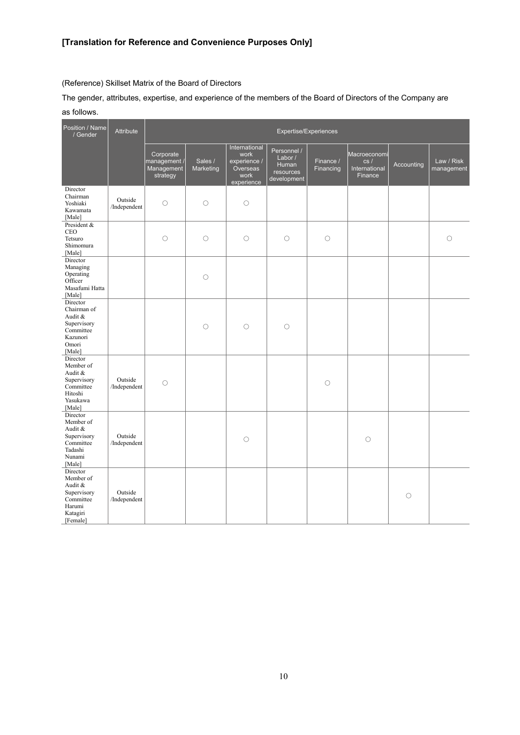(Reference) Skillset Matrix of the Board of Directors

The gender, attributes, expertise, and experience of the members of the Board of Directors of the Company are as follows.

| Position / Name<br>/ Gender                                                                    | Attribute               | Expertise/Experiences                               |                      |                                                                         |                                                             |                        |                                                 |            |                          |
|------------------------------------------------------------------------------------------------|-------------------------|-----------------------------------------------------|----------------------|-------------------------------------------------------------------------|-------------------------------------------------------------|------------------------|-------------------------------------------------|------------|--------------------------|
|                                                                                                |                         | Corporate<br>management /<br>Management<br>strategy | Sales /<br>Marketing | International<br>work<br>experience /<br>Overseas<br>work<br>experience | Personnel /<br>Labor /<br>Human<br>resources<br>development | Finance /<br>Financing | Macroeconomi<br>cs/<br>International<br>Finance | Accounting | Law / Risk<br>management |
| Director<br>Chairman<br>Yoshiaki<br>Kawamata<br>[Male]                                         | Outside<br>/Independent | $\circ$                                             | $\bigcirc$           | $\circ$                                                                 |                                                             |                        |                                                 |            |                          |
| President &<br><b>CEO</b><br>Tetsuro<br>Shimomura<br>[Male]                                    |                         | О                                                   | О                    | $\circlearrowright$                                                     | $\circ$                                                     | $\circlearrowright$    |                                                 |            | $\circ$                  |
| Director<br>Managing<br>Operating<br>Officer<br>Masafumi Hatta<br>[Male]                       |                         |                                                     | $\circ$              |                                                                         |                                                             |                        |                                                 |            |                          |
| Director<br>Chairman of<br>Audit &<br>Supervisory<br>Committee<br>Kazunori<br>Omori<br>[Male]  |                         |                                                     | $\circ$              | $\bigcirc$                                                              | $\circ$                                                     |                        |                                                 |            |                          |
| Director<br>Member of<br>Audit &<br>Supervisory<br>Committee<br>Hitoshi<br>Yasukawa<br>[Male]  | Outside<br>/Independent | $\bigcirc$                                          |                      |                                                                         |                                                             | $\circ$                |                                                 |            |                          |
| Director<br>Member of<br>Audit &<br>Supervisory<br>Committee<br>Tadashi<br>Nunami<br>[Male]    | Outside<br>/Independent |                                                     |                      | $\circ$                                                                 |                                                             |                        | $\circ$                                         |            |                          |
| Director<br>Member of<br>Audit &<br>Supervisory<br>Committee<br>Harumi<br>Katagiri<br>[Female] | Outside<br>/Independent |                                                     |                      |                                                                         |                                                             |                        |                                                 | $\circ$    |                          |

10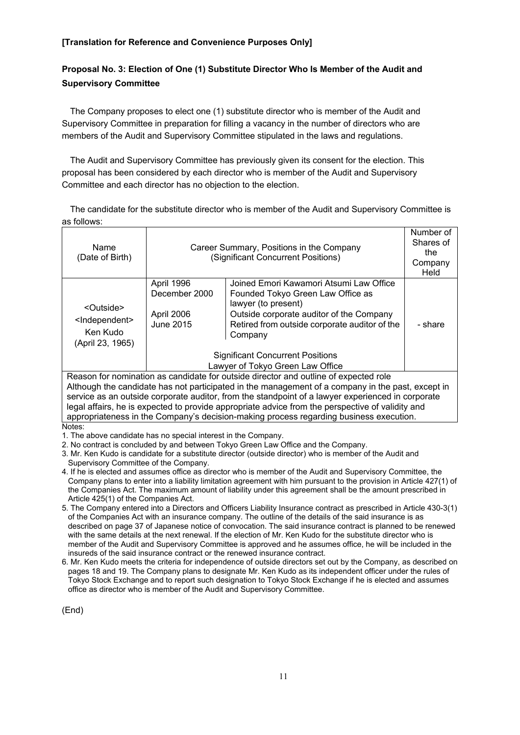# **Proposal No. 3: Election of One (1) Substitute Director Who Is Member of the Audit and Supervisory Committee**

The Company proposes to elect one (1) substitute director who is member of the Audit and Supervisory Committee in preparation for filling a vacancy in the number of directors who are members of the Audit and Supervisory Committee stipulated in the laws and regulations.

The Audit and Supervisory Committee has previously given its consent for the election. This proposal has been considered by each director who is member of the Audit and Supervisory Committee and each director has no objection to the election.

The candidate for the substitute director who is member of the Audit and Supervisory Committee is as follows:

| Name<br>(Date of Birth)                                                                           | Career Summary, Positions in the Company<br>(Significant Concurrent Positions) |                                                          | Number of<br>Shares of<br>the<br>Company<br>Held |  |  |
|---------------------------------------------------------------------------------------------------|--------------------------------------------------------------------------------|----------------------------------------------------------|--------------------------------------------------|--|--|
|                                                                                                   | April 1996<br>December 2000                                                    | Joined Emori Kawamori Atsumi Law Office                  |                                                  |  |  |
|                                                                                                   |                                                                                | Founded Tokyo Green Law Office as<br>lawyer (to present) |                                                  |  |  |
| <outside></outside>                                                                               | April 2006                                                                     | Outside corporate auditor of the Company                 |                                                  |  |  |
| <independent><br/>Ken Kudo</independent>                                                          | June 2015                                                                      | Retired from outside corporate auditor of the            | - share                                          |  |  |
| (April 23, 1965)                                                                                  |                                                                                | Company                                                  |                                                  |  |  |
|                                                                                                   |                                                                                | <b>Significant Concurrent Positions</b>                  |                                                  |  |  |
|                                                                                                   |                                                                                | Lawyer of Tokyo Green Law Office                         |                                                  |  |  |
| Reason for nomination as candidate for outside director and outline of expected role              |                                                                                |                                                          |                                                  |  |  |
| Although the candidate has not participated in the management of a company in the past, except in |                                                                                |                                                          |                                                  |  |  |
| service as an outside corporate auditor, from the standpoint of a lawyer experienced in corporate |                                                                                |                                                          |                                                  |  |  |
| legal affairs, he is expected to provide appropriate advice from the perspective of validity and  |                                                                                |                                                          |                                                  |  |  |

legal affairs, he is expected to provide appropriate advice from the perspective of validity and appropriateness in the Company's decision-making process regarding business execution.

Notes:

1. The above candidate has no special interest in the Company.

2. No contract is concluded by and between Tokyo Green Law Office and the Company.

- 3. Mr. Ken Kudo is candidate for a substitute director (outside director) who is member of the Audit and Supervisory Committee of the Company.
- 4. If he is elected and assumes office as director who is member of the Audit and Supervisory Committee, the Company plans to enter into a liability limitation agreement with him pursuant to the provision in Article 427(1) of the Companies Act. The maximum amount of liability under this agreement shall be the amount prescribed in Article 425(1) of the Companies Act.
- 5. The Company entered into a Directors and Officers Liability Insurance contract as prescribed in Article 430-3(1) of the Companies Act with an insurance company. The outline of the details of the said insurance is as described on page 37 of Japanese notice of convocation. The said insurance contract is planned to be renewed with the same details at the next renewal. If the election of Mr. Ken Kudo for the substitute director who is member of the Audit and Supervisory Committee is approved and he assumes office, he will be included in the insureds of the said insurance contract or the renewed insurance contract.
- 6. Mr. Ken Kudo meets the criteria for independence of outside directors set out by the Company, as described on pages 18 and 19. The Company plans to designate Mr. Ken Kudo as its independent officer under the rules of Tokyo Stock Exchange and to report such designation to Tokyo Stock Exchange if he is elected and assumes office as director who is member of the Audit and Supervisory Committee.

(End)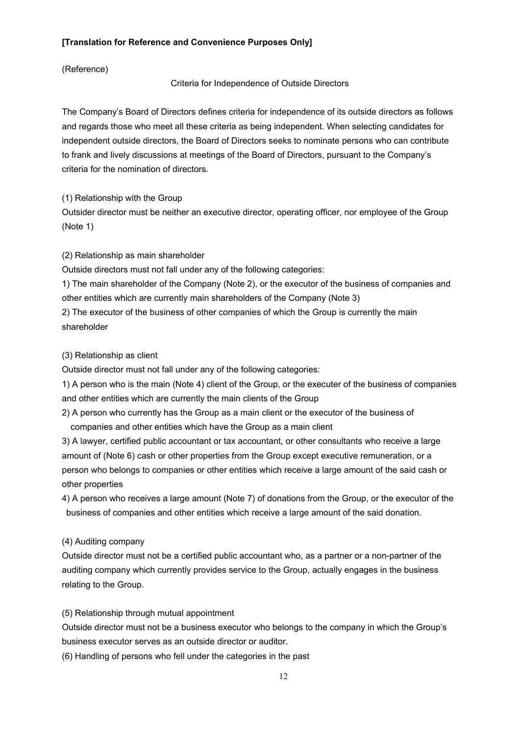#### (Reference)

#### Criteria for Independence of Outside Directors

The Company's Board of Directors defines criteria for independence of its outside directors as follows and regards those who meet all these criteria as being independent. When selecting candidates for independent outside directors, the Board of Directors seeks to nominate persons who can contribute to frank and lively discussions at meetings of the Board of Directors, pursuant to the Company's criteria for the nomination of directors.

(1) Relationship with the Group

Outsider director must be neither an executive director, operating officer, nor employee of the Group (Note 1)

(2) Relationship as main shareholder

Outside directors must not fall under any of the following categories:

1) The main shareholder of the Company (Note 2), or the executor of the business of companies and other entities which are currently main shareholders of the Company (Note 3)

2) The executor of the business of other companies of which the Group is currently the main shareholder

#### (3) Relationship as client

Outside director must not fall under any of the following categories:

1) A person who is the main (Note 4) client of the Group, or the executer of the business of companies and other entities which are currently the main clients of the Group

2) A person who currently has the Group as a main client or the executor of the business of companies and other entities which have the Group as a main client

3) A lawyer, certified public accountant or tax accountant, or other consultants who receive a large amount of (Note 6) cash or other properties from the Group except executive remuneration, or a person who belongs to companies or other entities which receive a large amount of the said cash or other properties

4) A person who receives a large amount (Note 7) of donations from the Group, or the executor of the business of companies and other entities which receive a large amount of the said donation.

#### (4) Auditing company

Outside director must not be a certified public accountant who, as a partner or a non-partner of the auditing company which currently provides service to the Group, actually engages in the business relating to the Group.

(5) Relationship through mutual appointment

Outside director must not be a business executor who belongs to the company in which the Group's business executor serves as an outside director or auditor.

(6) Handling of persons who fell under the categories in the past